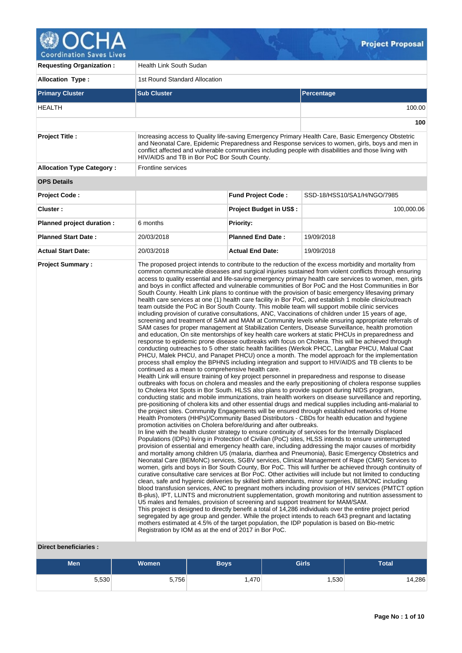

| <b>Requesting Organization:</b>  | Health Link South Sudan                                                                                                                                                                                                                                             |                                |                                                                                                                                                                                                                                                                                                                                                                                                                                                                                                                                                                                                                                                                                                                                                                                                                                                                                                                                                                                                                                                                                                                                                                                                                                                                                                                                                                                                                                                                                                                                                                                                                                                                                                                                                                                                                                                                                                                                                                                                                                                                                                                                                                                                                                                                                                                                                                                                                                                                                                                                                                                                                                                                                                                                                                                                                                                                                                                                                                                                                                                                                                                                                                                                                                                                                                                                                                                                                                                                                                                                                                                                                            |  |  |  |
|----------------------------------|---------------------------------------------------------------------------------------------------------------------------------------------------------------------------------------------------------------------------------------------------------------------|--------------------------------|----------------------------------------------------------------------------------------------------------------------------------------------------------------------------------------------------------------------------------------------------------------------------------------------------------------------------------------------------------------------------------------------------------------------------------------------------------------------------------------------------------------------------------------------------------------------------------------------------------------------------------------------------------------------------------------------------------------------------------------------------------------------------------------------------------------------------------------------------------------------------------------------------------------------------------------------------------------------------------------------------------------------------------------------------------------------------------------------------------------------------------------------------------------------------------------------------------------------------------------------------------------------------------------------------------------------------------------------------------------------------------------------------------------------------------------------------------------------------------------------------------------------------------------------------------------------------------------------------------------------------------------------------------------------------------------------------------------------------------------------------------------------------------------------------------------------------------------------------------------------------------------------------------------------------------------------------------------------------------------------------------------------------------------------------------------------------------------------------------------------------------------------------------------------------------------------------------------------------------------------------------------------------------------------------------------------------------------------------------------------------------------------------------------------------------------------------------------------------------------------------------------------------------------------------------------------------------------------------------------------------------------------------------------------------------------------------------------------------------------------------------------------------------------------------------------------------------------------------------------------------------------------------------------------------------------------------------------------------------------------------------------------------------------------------------------------------------------------------------------------------------------------------------------------------------------------------------------------------------------------------------------------------------------------------------------------------------------------------------------------------------------------------------------------------------------------------------------------------------------------------------------------------------------------------------------------------------------------------------------------------|--|--|--|
| <b>Allocation Type:</b>          | 1st Round Standard Allocation                                                                                                                                                                                                                                       |                                |                                                                                                                                                                                                                                                                                                                                                                                                                                                                                                                                                                                                                                                                                                                                                                                                                                                                                                                                                                                                                                                                                                                                                                                                                                                                                                                                                                                                                                                                                                                                                                                                                                                                                                                                                                                                                                                                                                                                                                                                                                                                                                                                                                                                                                                                                                                                                                                                                                                                                                                                                                                                                                                                                                                                                                                                                                                                                                                                                                                                                                                                                                                                                                                                                                                                                                                                                                                                                                                                                                                                                                                                                            |  |  |  |
| <b>Primary Cluster</b>           | <b>Sub Cluster</b>                                                                                                                                                                                                                                                  | Percentage                     |                                                                                                                                                                                                                                                                                                                                                                                                                                                                                                                                                                                                                                                                                                                                                                                                                                                                                                                                                                                                                                                                                                                                                                                                                                                                                                                                                                                                                                                                                                                                                                                                                                                                                                                                                                                                                                                                                                                                                                                                                                                                                                                                                                                                                                                                                                                                                                                                                                                                                                                                                                                                                                                                                                                                                                                                                                                                                                                                                                                                                                                                                                                                                                                                                                                                                                                                                                                                                                                                                                                                                                                                                            |  |  |  |
| <b>HEALTH</b>                    |                                                                                                                                                                                                                                                                     |                                | 100.00                                                                                                                                                                                                                                                                                                                                                                                                                                                                                                                                                                                                                                                                                                                                                                                                                                                                                                                                                                                                                                                                                                                                                                                                                                                                                                                                                                                                                                                                                                                                                                                                                                                                                                                                                                                                                                                                                                                                                                                                                                                                                                                                                                                                                                                                                                                                                                                                                                                                                                                                                                                                                                                                                                                                                                                                                                                                                                                                                                                                                                                                                                                                                                                                                                                                                                                                                                                                                                                                                                                                                                                                                     |  |  |  |
|                                  |                                                                                                                                                                                                                                                                     |                                | 100                                                                                                                                                                                                                                                                                                                                                                                                                                                                                                                                                                                                                                                                                                                                                                                                                                                                                                                                                                                                                                                                                                                                                                                                                                                                                                                                                                                                                                                                                                                                                                                                                                                                                                                                                                                                                                                                                                                                                                                                                                                                                                                                                                                                                                                                                                                                                                                                                                                                                                                                                                                                                                                                                                                                                                                                                                                                                                                                                                                                                                                                                                                                                                                                                                                                                                                                                                                                                                                                                                                                                                                                                        |  |  |  |
| <b>Project Title:</b>            | HIV/AIDS and TB in Bor PoC Bor South County.                                                                                                                                                                                                                        |                                | Increasing access to Quality life-saving Emergency Primary Health Care, Basic Emergency Obstetric<br>and Neonatal Care, Epidemic Preparedness and Response services to women, girls, boys and men in<br>conflict affected and vulnerable communities including people with disabilities and those living with                                                                                                                                                                                                                                                                                                                                                                                                                                                                                                                                                                                                                                                                                                                                                                                                                                                                                                                                                                                                                                                                                                                                                                                                                                                                                                                                                                                                                                                                                                                                                                                                                                                                                                                                                                                                                                                                                                                                                                                                                                                                                                                                                                                                                                                                                                                                                                                                                                                                                                                                                                                                                                                                                                                                                                                                                                                                                                                                                                                                                                                                                                                                                                                                                                                                                                              |  |  |  |
| <b>Allocation Type Category:</b> | <b>Frontline services</b>                                                                                                                                                                                                                                           |                                |                                                                                                                                                                                                                                                                                                                                                                                                                                                                                                                                                                                                                                                                                                                                                                                                                                                                                                                                                                                                                                                                                                                                                                                                                                                                                                                                                                                                                                                                                                                                                                                                                                                                                                                                                                                                                                                                                                                                                                                                                                                                                                                                                                                                                                                                                                                                                                                                                                                                                                                                                                                                                                                                                                                                                                                                                                                                                                                                                                                                                                                                                                                                                                                                                                                                                                                                                                                                                                                                                                                                                                                                                            |  |  |  |
| <b>OPS Details</b>               |                                                                                                                                                                                                                                                                     |                                |                                                                                                                                                                                                                                                                                                                                                                                                                                                                                                                                                                                                                                                                                                                                                                                                                                                                                                                                                                                                                                                                                                                                                                                                                                                                                                                                                                                                                                                                                                                                                                                                                                                                                                                                                                                                                                                                                                                                                                                                                                                                                                                                                                                                                                                                                                                                                                                                                                                                                                                                                                                                                                                                                                                                                                                                                                                                                                                                                                                                                                                                                                                                                                                                                                                                                                                                                                                                                                                                                                                                                                                                                            |  |  |  |
| Project Code:                    |                                                                                                                                                                                                                                                                     | <b>Fund Project Code:</b>      | SSD-18/HSS10/SA1/H/NGO/7985                                                                                                                                                                                                                                                                                                                                                                                                                                                                                                                                                                                                                                                                                                                                                                                                                                                                                                                                                                                                                                                                                                                                                                                                                                                                                                                                                                                                                                                                                                                                                                                                                                                                                                                                                                                                                                                                                                                                                                                                                                                                                                                                                                                                                                                                                                                                                                                                                                                                                                                                                                                                                                                                                                                                                                                                                                                                                                                                                                                                                                                                                                                                                                                                                                                                                                                                                                                                                                                                                                                                                                                                |  |  |  |
| Cluster:                         |                                                                                                                                                                                                                                                                     | <b>Project Budget in US\$:</b> | 100,000.06                                                                                                                                                                                                                                                                                                                                                                                                                                                                                                                                                                                                                                                                                                                                                                                                                                                                                                                                                                                                                                                                                                                                                                                                                                                                                                                                                                                                                                                                                                                                                                                                                                                                                                                                                                                                                                                                                                                                                                                                                                                                                                                                                                                                                                                                                                                                                                                                                                                                                                                                                                                                                                                                                                                                                                                                                                                                                                                                                                                                                                                                                                                                                                                                                                                                                                                                                                                                                                                                                                                                                                                                                 |  |  |  |
| Planned project duration :       | 6 months                                                                                                                                                                                                                                                            | <b>Priority:</b>               |                                                                                                                                                                                                                                                                                                                                                                                                                                                                                                                                                                                                                                                                                                                                                                                                                                                                                                                                                                                                                                                                                                                                                                                                                                                                                                                                                                                                                                                                                                                                                                                                                                                                                                                                                                                                                                                                                                                                                                                                                                                                                                                                                                                                                                                                                                                                                                                                                                                                                                                                                                                                                                                                                                                                                                                                                                                                                                                                                                                                                                                                                                                                                                                                                                                                                                                                                                                                                                                                                                                                                                                                                            |  |  |  |
| <b>Planned Start Date:</b>       | 20/03/2018                                                                                                                                                                                                                                                          | <b>Planned End Date:</b>       | 19/09/2018                                                                                                                                                                                                                                                                                                                                                                                                                                                                                                                                                                                                                                                                                                                                                                                                                                                                                                                                                                                                                                                                                                                                                                                                                                                                                                                                                                                                                                                                                                                                                                                                                                                                                                                                                                                                                                                                                                                                                                                                                                                                                                                                                                                                                                                                                                                                                                                                                                                                                                                                                                                                                                                                                                                                                                                                                                                                                                                                                                                                                                                                                                                                                                                                                                                                                                                                                                                                                                                                                                                                                                                                                 |  |  |  |
| <b>Actual Start Date:</b>        | 20/03/2018                                                                                                                                                                                                                                                          | <b>Actual End Date:</b>        | 19/09/2018                                                                                                                                                                                                                                                                                                                                                                                                                                                                                                                                                                                                                                                                                                                                                                                                                                                                                                                                                                                                                                                                                                                                                                                                                                                                                                                                                                                                                                                                                                                                                                                                                                                                                                                                                                                                                                                                                                                                                                                                                                                                                                                                                                                                                                                                                                                                                                                                                                                                                                                                                                                                                                                                                                                                                                                                                                                                                                                                                                                                                                                                                                                                                                                                                                                                                                                                                                                                                                                                                                                                                                                                                 |  |  |  |
|                                  | continued as a mean to comprehensive health care.<br>promotion activities on Cholera before/during and after outbreaks.<br>U5 males and females, provision of screening and support treatment for MAM/SAM.<br>Registration by IOM as at the end of 2017 in Bor PoC. |                                | common communicable diseases and surgical injuries sustained from violent conflicts through ensuring<br>access to quality essential and life-saving emergency primary health care services to women, men, girls<br>and boys in conflict affected and vulnerable communities of Bor PoC and the Host Communities in Bor<br>South County. Health Link plans to continue with the provision of basic emergency lifesaving primary<br>health care services at one (1) health care facility in Bor PoC, and establish 1 mobile clinic/outreach<br>team outside the PoC in Bor South County. This mobile team will support mobile clinic services<br>including provision of curative consultations, ANC, Vaccinations of children under 15 years of age,<br>screening and treatment of SAM and MAM at Community levels while ensuring appropriate referrals of<br>SAM cases for proper management at Stabilization Centers, Disease Surveillance, health promotion<br>and education, On site mentorships of key health care workers at static PHCUs in preparedness and<br>response to epidemic prone disease outbreaks with focus on Cholera. This will be achieved through<br>conducting outreaches to 5 other static health facilities (Werkok PHCC, Langbar PHCU, Malual Caat<br>PHCU, Malek PHCU, and Panapet PHCU) once a month. The model approach for the implementation<br>process shall employ the BPHNS including integration and support to HIV/AIDS and TB clients to be<br>Health Link will ensure training of key project personnel in preparedness and response to disease<br>outbreaks with focus on cholera and measles and the early prepositioning of cholera response supplies<br>to Cholera Hot Spots in Bor South. HLSS also plans to provide support during NIDS program,<br>conducting static and mobile immunizations, train health workers on disease surveillance and reporting,<br>pre-positioning of cholera kits and other essential drugs and medical supplies including anti-malarial to<br>the project sites. Community Engagements will be ensured through established networks of Home<br>Health Promoters (HHPs)/Community Based Distributors - CBDs for health education and hygiene<br>In line with the health cluster strategy to ensure continuity of services for the Internally Displaced<br>Populations (IDPs) living in Protection of Civilian (PoC) sites, HLSS intends to ensure uninterrupted<br>provision of essential and emergency health care, including addressing the major causes of morbidity<br>and mortality among children U5 (malaria, diarrhea and Pneumonia), Basic Emergency Obstetrics and<br>Neonatal Care (BEMoNC) services, SGBV services, Clinical Management of Rape (CMR) Services to<br>women, girls and boys in Bor South County, Bor PoC. This will further be achieved through continuity of<br>curative consultative care services at Bor PoC. Other activities will include but not limited to conducting<br>clean, safe and hygienic deliveries by skilled birth attendants, minor surgeries, BEMONC including<br>blood transfusion services, ANC to pregnant mothers including provision of HIV services (PMTCT option<br>B-plus), IPT, LLINTS and micronutrient supplementation, growth monitoring and nutrition assessment to<br>This project is designed to directly benefit a total of 14,286 individuals over the entire project period<br>segregated by age group and gender. While the project intends to reach 643 pregnant and lactating<br>mothers estimated at 4.5% of the target population, the IDP population is based on Bio-metric |  |  |  |

# **Direct beneficiaries :**

| <b>Men</b> | <b>Women</b> | Boys | <b>Girls</b> | Total  |
|------------|--------------|------|--------------|--------|
| 5,530      | 5,756        | .470 | ,530         | 14,286 |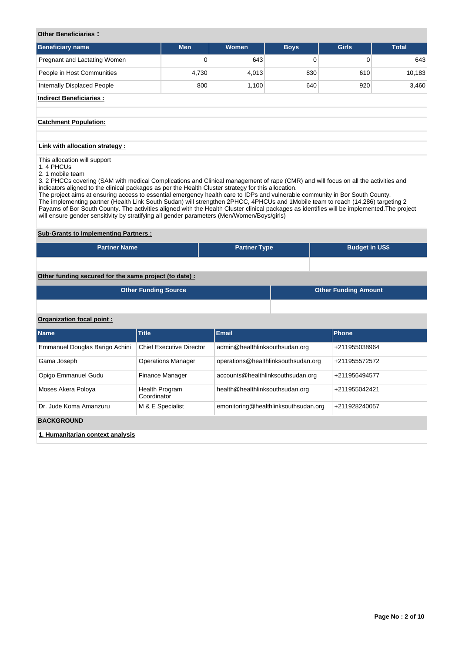# **Other Beneficiaries :**

| <b>Beneficiary name</b>      | <b>Men</b> | <b>Women</b> | <b>Boys</b> | <b>Girls</b> | <b>Total</b> |
|------------------------------|------------|--------------|-------------|--------------|--------------|
| Pregnant and Lactating Women | 0          | 643          |             |              | 643          |
| People in Host Communities   | 4,730      | 4.013        | 830         | 610          | 10,183       |
| Internally Displaced People  | 800        | 1.100        | 640         | 920          | 3,460        |
| .                            |            |              |             |              |              |

# **Indirect Beneficiaries :**

## **Catchment Population:**

## **Link with allocation strategy :**

This allocation will support

- 1. 4 PHCUs
- 2. 1 mobile team

3. 2 PHCCs covering (SAM with medical Complications and Clinical management of rape (CMR) and will focus on all the activities and indicators aligned to the clinical packages as per the Health Cluster strategy for this allocation.

The project aims at ensuring access to essential emergency health care to IDPs and vulnerable community in Bor South County. The implementing partner (Health Link South Sudan) will strengthen 2PHCC, 4PHCUs and 1Mobile team to reach (14,286) targeting 2 Payams of Bor South County. The activities aligned with the Health Cluster clinical packages as identifies will be implemented.The project will ensure gender sensitivity by stratifying all gender parameters (Men/Women/Boys/girls)

# **Sub-Grants to Implementing Partners :**

| <b>Partner Name</b>                                   | <b>Partner Type</b> | <b>Budget in US\$</b> |  |  |  |  |  |
|-------------------------------------------------------|---------------------|-----------------------|--|--|--|--|--|
|                                                       |                     |                       |  |  |  |  |  |
| Other funding secured for the same project (to date): |                     |                       |  |  |  |  |  |

| <b>Other Funding Source</b> | <b>Other Funding Amount</b> |
|-----------------------------|-----------------------------|
|                             |                             |

# **Organization focal point :**

| <b>Name</b>                      | <b>Title</b>                    | <b>Email</b>                         | Phone         |
|----------------------------------|---------------------------------|--------------------------------------|---------------|
| Emmanuel Douglas Barigo Achini   | <b>Chief Executive Director</b> | admin@healthlinksouthsudan.org       | +211955038964 |
| Gama Joseph                      | <b>Operations Manager</b>       | operations@healthlinksouthsudan.org  | +211955572572 |
| Opigo Emmanuel Gudu              | Finance Manager                 | accounts@healthlinksouthsudan.org    | +211956494577 |
| Moses Akera Poloya               | Health Program<br>Coordinator   | health@healthlinksouthsudan.org      | +211955042421 |
| Dr. Jude Koma Amanzuru           | M & E Specialist                | emonitoring@healthlinksouthsudan.org | +211928240057 |
| <b>BACKGROUND</b>                |                                 |                                      |               |
| 1. Humanitarian context analysis |                                 |                                      |               |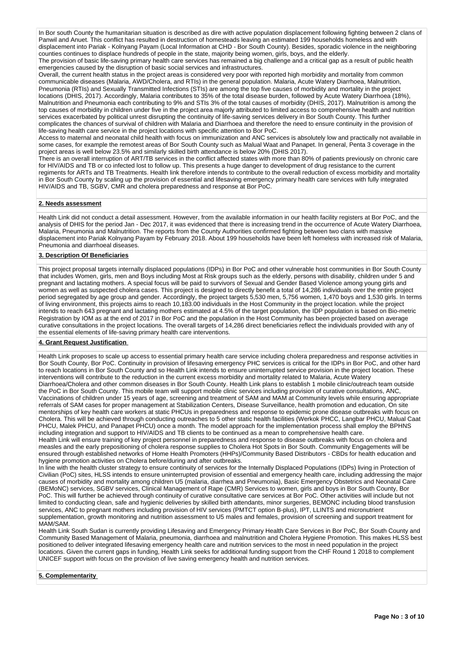In Bor south County the humanitarian situation is described as dire with active population displacement following fighting between 2 clans of Panwil and Anuet. This conflict has resulted in destruction of homesteads leaving an estimated 199 households homeless and with displacement into Pariak - Kolnyang Payam (Local Information at CHD - Bor South County). Besides, sporadic violence in the neighboring counties continues to displace hundreds of people in the state, majority being women, girls, boys, and the elderly. The provision of basic life-saving primary health care services has remained a big challenge and a critical gap as a result of public health emergencies caused by the disruption of basic social services and infrastructures.

Overall, the current health status in the project areas is considered very poor with reported high morbidity and mortality from common communicable diseases (Malaria, AWD/Cholera, and RTIs) in the general population. Malaria, Acute Watery Diarrhoea, Malnutrition, Pneumonia (RTIs) and Sexually Transmitted Infections (STIs) are among the top five causes of morbidity and mortality in the project locations (DHIS, 2017). Accordingly, Malaria contributes to 35% of the total disease burden, followed by Acute Watery Diarrhoea (18%) Malnutrition and Pneumonia each contributing to 9% and STIs 3% of the total causes of morbidity (DHIS, 2017). Malnutrition is among the top causes of morbidity in children under five in the project area majorly attributed to limited access to comprehensive health and nutrition services exacerbated by political unrest disrupting the continuity of life-saving services delivery in Bor South County. This further complicates the chances of survival of children with Malaria and Diarrhoea and therefore the need to ensure continuity in the provision of life-saving health care service in the project locations with specific attention to Bor PoC.

Access to maternal and neonatal child health with focus on immunization and ANC services is absolutely low and practically not available in some cases, for example the remotest areas of Bor South County such as Malual Waat and Panapet. In general, Penta 3 coverage in the project areas is well below 23.5% and similarly skilled birth attendance is below 20% (DHIS 2017).

There is an overall interruption of ART/TB services in the conflict affected states with more than 80% of patients previously on chronic care for HIV/AIDS and TB or co infected lost to follow up. This presents a huge danger to development of drug resistance to the current regiments for ARTs and TB Treatments. Health link therefore intends to contribute to the overall reduction of excess morbidity and mortality in Bor South County by scaling up the provision of essential and lifesaving emergency primary health care services with fully integrated HIV/AIDS and TB, SGBV, CMR and cholera preparedness and response at Bor PoC.

### **2. Needs assessment**

Health Link did not conduct a detail assessment. However, from the available information in our health facility registers at Bor PoC, and the analysis of DHIS for the period Jan - Dec 2017, it was evidenced that there is increasing trend in the occurrence of Acute Watery Diarrhoea, Malaria, Pneumonia and Malnutrition. The reports from the County Authorities confirmed fighting between two clans with massive displacement into Pariak Kolnyang Payam by February 2018. About 199 households have been left homeless with increased risk of Malaria, Pneumonia and diarrhoeal diseases.

### **3. Description Of Beneficiaries**

This project proposal targets internally displaced populations (IDPs) in Bor PoC and other vulnerable host communities in Bor South County that includes Women, girls, men and Boys including Most at Risk groups such as the elderly, persons with disability, children under 5 and pregnant and lactating mothers. A special focus will be paid to survivors of Sexual and Gender Based Violence among young girls and women as well as suspected cholera cases. This project is designed to directly benefit a total of 14,286 individuals over the entire project period segregated by age group and gender. Accordingly, the project targets 5,530 men, 5,756 women, 1,470 boys and 1,530 girls. In terms of living environment, this projects aims to reach 10,183.00 individuals in the Host Community in the project location. while the project intends to reach 643 pregnant and lactating mothers estimated at 4.5% of the target population, the IDP population is based on Bio-metric Registration by IOM as at the end of 2017 in Bor PoC and the population in the Host Community has been projected based on average curative consultations in the project locations. The overall targets of 14,286 direct beneficiaries reflect the individuals provided with any of the essential elements of life-saving primary health care interventions.

# **4. Grant Request Justification**

Health Link proposes to scale up access to essential primary health care service including cholera preparedness and response activities in Bor South County, Bor PoC. Continuity in provision of lifesaving emergency PHC services is critical for the IDPs in Bor PoC, and other hard to reach locations in Bor South County and so Health Link intends to ensure uninterrupted service provision in the project location. These interventions will contribute to the reduction in the current excess morbidity and mortality related to Malaria, Acute Watery Diarrhoea/Cholera and other common diseases in Bor South County. Health Link plans to establish 1 mobile clinic/outreach team outside the PoC in Bor South County. This mobile team will support mobile clinic services including provision of curative consultations, ANC, Vaccinations of children under 15 years of age, screening and treatment of SAM and MAM at Community levels while ensuring appropriate referrals of SAM cases for proper management at Stabilization Centers, Disease Surveillance, health promotion and education, On site mentorships of key health care workers at static PHCUs in preparedness and response to epidemic prone disease outbreaks with focus on Cholera. This will be achieved through conducting outreaches to 5 other static health facilities (Werkok PHCC, Langbar PHCU, Malual Caat PHCU, Malek PHCU, and Panapet PHCU) once a month. The model approach for the implementation process shall employ the BPHNS including integration and support to HIV/AIDS and TB clients to be continued as a mean to comprehensive health care. Health Link will ensure training of key project personnel in preparedness and response to disease outbreaks with focus on cholera and measles and the early prepositioning of cholera response supplies to Cholera Hot Spots in Bor South. Community Engagements will be ensured through established networks of Home Health Promoters (HHPs)/Community Based Distributors - CBDs for health education and hygiene promotion activities on Cholera before/during and after outbreaks.

In line with the health cluster strategy to ensure continuity of services for the Internally Displaced Populations (IDPs) living in Protection of Civilian (PoC) sites, HLSS intends to ensure uninterrupted provision of essential and emergency health care, including addressing the major causes of morbidity and mortality among children U5 (malaria, diarrhea and Pneumonia), Basic Emergency Obstetrics and Neonatal Care (BEMoNC) services, SGBV services, Clinical Management of Rape (CMR) Services to women, girls and boys in Bor South County, Bor PoC. This will further be achieved through continuity of curative consultative care services at Bor PoC. Other activities will include but not limited to conducting clean, safe and hygienic deliveries by skilled birth attendants, minor surgeries, BEMONC including blood transfusion services, ANC to pregnant mothers including provision of HIV services (PMTCT option B-plus), IPT, LLINTS and micronutrient supplementation, growth monitoring and nutrition assessment to U5 males and females, provision of screening and support treatment for MAM/SAM.

Health Link South Sudan is currently providing Lifesaving and Emergency Primary Health Care Services in Bor PoC, Bor South County and Community Based Management of Malaria, pneumonia, diarrhoea and malnutrition and Cholera Hygiene Promotion. This makes HLSS best positioned to deliver integrated lifesaving emergency health care and nutrition services to the most in need population in the project locations. Given the current gaps in funding, Health Link seeks for additional funding support from the CHF Round 1 2018 to complement UNICEF support with focus on the provision of live saving emergency health and nutrition services.

### **5. Complementarity**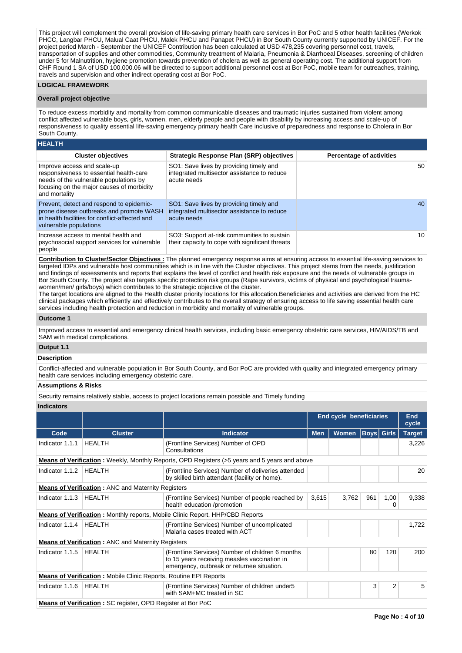This project will complement the overall provision of life-saving primary health care services in Bor PoC and 5 other health facilities (Werkok PHCC, Langbar PHCU, Malual Caat PHCU, Malek PHCU and Panapet PHCU) in Bor South County currently supported by UNICEF. For the project period March - September the UNICEF Contribution has been calculated at USD 478,235 covering personnel cost, travels, transportation of supplies and other commodities, Community treatment of Malaria, Pneumonia & Diarrhoeal Diseases, screening of children under 5 for Malnutrition, hygiene promotion towards prevention of cholera as well as general operating cost. The additional support from CHF Round 1 SA of USD 100,000.06 will be directed to support additional personnel cost at Bor PoC, mobile team for outreaches, training, travels and supervision and other indirect operating cost at Bor PoC.

### **LOGICAL FRAMEWORK**

## **Overall project objective**

To reduce excess morbidity and mortality from common communicable diseases and traumatic injuries sustained from violent among conflict affected vulnerable boys, girls, women, men, elderly people and people with disability by increasing access and scale-up of responsiveness to quality essential life-saving emergency primary health Care inclusive of preparedness and response to Cholera in Bor South County.

# **HEALTH**

| <b>Cluster objectives</b>                                                                                                                                                      | <b>Strategic Response Plan (SRP) objectives</b>                                                       | <b>Percentage of activities</b> |
|--------------------------------------------------------------------------------------------------------------------------------------------------------------------------------|-------------------------------------------------------------------------------------------------------|---------------------------------|
| Improve access and scale-up<br>responsiveness to essential health-care<br>needs of the vulnerable populations by<br>focusing on the major causes of morbidity<br>and mortality | SO1: Save lives by providing timely and<br>integrated multisector assistance to reduce<br>acute needs | 50                              |
| Prevent, detect and respond to epidemic-<br>prone disease outbreaks and promote WASH<br>in health facilities for conflict-affected and<br>vulnerable populations               | SO1: Save lives by providing timely and<br>integrated multisector assistance to reduce<br>acute needs | 40                              |
| Increase access to mental health and<br>psychosocial support services for vulnerable<br>people                                                                                 | SO3: Support at-risk communities to sustain<br>their capacity to cope with significant threats        | 10                              |

**Contribution to Cluster/Sector Objectives :** The planned emergency response aims at ensuring access to essential life-saving services to targeted IDPs and vulnerable host communities which is in line with the Cluster objectives. This project stems from the needs, justification and findings of assessments and reports that explains the level of conflict and health risk exposure and the needs of vulnerable groups in Bor South County. The project also targets specific protection risk groups (Rape survivors, victims of physical and psychological traumawomen/men/ girls/boys) which contributes to the strategic objective of the cluster.

The target locations are aligned to the Health cluster priority locations for this allocation.Beneficiaries and activities are derived from the HC clinical packages which efficiently and effectively contributes to the overall strategy of ensuring access to life saving essential health care services including health protection and reduction in morbidity and mortality of vulnerable groups.

# **Outcome 1**

Improved access to essential and emergency clinical health services, including basic emergency obstetric care services, HIV/AIDS/TB and SAM with medical complications.

### **Output 1.1**

### **Description**

Conflict-affected and vulnerable population in Bor South County, and Bor PoC are provided with quality and integrated emergency primary health care services including emergency obstetric care.

# **Assumptions & Risks**

Security remains relatively stable, access to project locations remain possible and Timely funding

## **Indicators**

|                 |                                                                          |                                                                                                                                                |            | <b>End cycle beneficiaries</b> |                   |                | <b>End</b><br>cycle |
|-----------------|--------------------------------------------------------------------------|------------------------------------------------------------------------------------------------------------------------------------------------|------------|--------------------------------|-------------------|----------------|---------------------|
| Code            | <b>Cluster</b>                                                           | <b>Indicator</b>                                                                                                                               | <b>Men</b> | <b>Women</b>                   | <b>Boys Girls</b> |                | <b>Target</b>       |
| Indicator 1.1.1 | <b>HEALTH</b>                                                            | (Frontline Services) Number of OPD<br>Consultations                                                                                            |            |                                |                   |                | 3,226               |
|                 |                                                                          | <b>Means of Verification</b> : Weekly, Monthly Reports, OPD Registers (>5 years and 5 years and above                                          |            |                                |                   |                |                     |
| Indicator 1.1.2 | <b>HEALTH</b>                                                            | (Frontline Services) Number of deliveries attended<br>by skilled birth attendant (facility or home).                                           |            |                                |                   |                | 20                  |
|                 | <b>Means of Verification:</b> ANC and Maternity Registers                |                                                                                                                                                |            |                                |                   |                |                     |
| Indicator 1.1.3 | <b>HEALTH</b>                                                            | (Frontline Services) Number of people reached by<br>health education /promotion                                                                | 3,615      | 3,762                          | 961               | 1,00<br>0      | 9,338               |
|                 |                                                                          | <b>Means of Verification:</b> Monthly reports, Mobile Clinic Report, HHP/CBD Reports                                                           |            |                                |                   |                |                     |
| Indicator 1.1.4 | HEALTH                                                                   | (Frontline Services) Number of uncomplicated<br>Malaria cases treated with ACT                                                                 |            |                                |                   |                | 1,722               |
|                 | <b>Means of Verification:</b> ANC and Maternity Registers                |                                                                                                                                                |            |                                |                   |                |                     |
| Indicator 1.1.5 | <b>HEALTH</b>                                                            | (Frontline Services) Number of children 6 months<br>to 15 years receiving measles vaccination in<br>emergency, outbreak or returnee situation. |            |                                | 80                | 120            | 200                 |
|                 | <b>Means of Verification:</b> Mobile Clinic Reports, Routine EPI Reports |                                                                                                                                                |            |                                |                   |                |                     |
| Indicator 1.1.6 | <b>HEALTH</b>                                                            | (Frontline Services) Number of children under 5<br>with SAM+MC treated in SC                                                                   |            |                                | 3                 | $\overline{2}$ | 5                   |
|                 | <b>Means of Verification:</b> SC register, OPD Register at Bor PoC       |                                                                                                                                                |            |                                |                   |                |                     |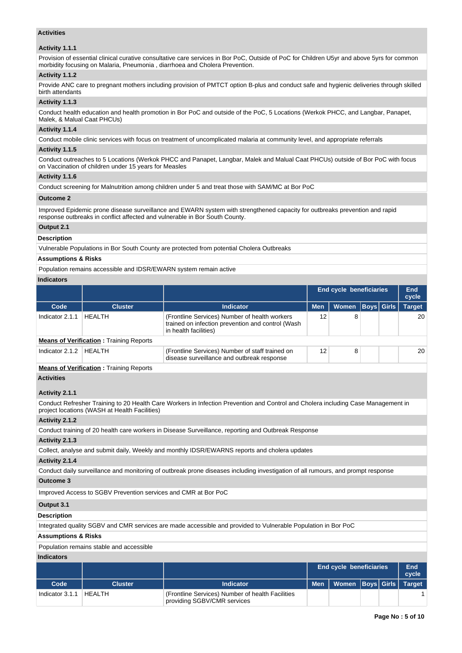# **Activities**

## **Activity 1.1.1**

Provision of essential clinical curative consultative care services in Bor PoC, Outside of PoC for Children U5yr and above 5yrs for common morbidity focusing on Malaria, Pneumonia , diarrhoea and Cholera Prevention.

## **Activity 1.1.2**

Provide ANC care to pregnant mothers including provision of PMTCT option B-plus and conduct safe and hygienic deliveries through skilled birth attendants

# **Activity 1.1.3**

Conduct health education and health promotion in Bor PoC and outside of the PoC, 5 Locations (Werkok PHCC, and Langbar, Panapet, Malek, & Malual Caat PHCUs)

# **Activity 1.1.4**

Conduct mobile clinic services with focus on treatment of uncomplicated malaria at community level, and appropriate referrals

## **Activity 1.1.5**

Conduct outreaches to 5 Locations (Werkok PHCC and Panapet, Langbar, Malek and Malual Caat PHCUs) outside of Bor PoC with focus on Vaccination of children under 15 years for Measles

# **Activity 1.1.6**

Conduct screening for Malnutrition among children under 5 and treat those with SAM/MC at Bor PoC

# **Outcome 2**

Improved Epidemic prone disease surveillance and EWARN system with strengthened capacity for outbreaks prevention and rapid response outbreaks in conflict affected and vulnerable in Bor South County.

# **Output 2.1**

**Description**

Vulnerable Populations in Bor South County are protected from potential Cholera Outbreaks

# **Assumptions & Risks**

Population remains accessible and IDSR/EWARN system remain active

# **Indicators**

|                 |                                                |                                                                                                                             |            | <b>End cycle beneficiaries</b> |             | End<br>cycle  |
|-----------------|------------------------------------------------|-----------------------------------------------------------------------------------------------------------------------------|------------|--------------------------------|-------------|---------------|
| Code            | <b>Cluster</b>                                 | <b>Indicator</b>                                                                                                            | <b>Men</b> | <b>Women</b>                   | Boys  Girls | <b>Target</b> |
| Indicator 2.1.1 | <b>HEALTH</b>                                  | (Frontline Services) Number of health workers<br>trained on infection prevention and control (Wash<br>in health facilities) | 12         | 8                              |             | 20            |
|                 | <b>Means of Verification:</b> Training Reports |                                                                                                                             |            |                                |             |               |
| Indicator 2.1.2 | HFAI TH                                        | (Frontline Services) Number of staff trained on<br>disease surveillance and outbreak response                               | 12         | 8                              |             | 20            |
|                 |                                                |                                                                                                                             |            |                                |             |               |

# **Means of Verification : Training Reports**

### **Activities**

# **Activity 2.1.1**

Conduct Refresher Training to 20 Health Care Workers in Infection Prevention and Control and Cholera including Case Management in project locations (WASH at Health Facilities)

# **Activity 2.1.2**

Conduct training of 20 health care workers in Disease Surveillance, reporting and Outbreak Response

# **Activity 2.1.3**

Collect, analyse and submit daily, Weekly and monthly IDSR/EWARNS reports and cholera updates

# **Activity 2.1.4**

Conduct daily surveillance and monitoring of outbreak prone diseases including investigation of all rumours, and prompt response

# **Outcome 3**

Improved Access to SGBV Prevention services and CMR at Bor PoC

# **Output 3.1**

# **Description**

Integrated quality SGBV and CMR services are made accessible and provided to Vulnerable Population in Bor PoC

# **Assumptions & Risks**

Population remains stable and accessible

# **Indicators**

|                 |         | <b>End cycle beneficiaries</b>                                                  |  | End<br>cycle                      |  |  |
|-----------------|---------|---------------------------------------------------------------------------------|--|-----------------------------------|--|--|
| Code            | Cluster | Indicator                                                                       |  | Men   Women  Boys  Girls   Target |  |  |
| Indicator 3.1.1 | HEALTH  | (Frontline Services) Number of health Facilities<br>providing SGBV/CMR services |  |                                   |  |  |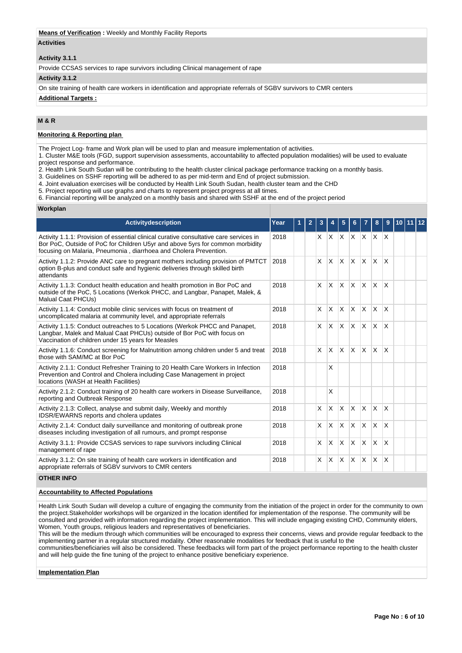## **Means of Verification :** Weekly and Monthly Facility Reports

### **Activities**

# **Activity 3.1.1**

Provide CCSAS services to rape survivors including Clinical management of rape

#### **Activity 3.1.2**

On site training of health care workers in identification and appropriate referrals of SGBV survivors to CMR centers

## **Additional Targets :**

# **M & R**

## **Monitoring & Reporting plan**

The Project Log- frame and Work plan will be used to plan and measure implementation of activities.

1. Cluster M&E tools (FGD, support supervision assessments, accountability to affected population modalities) will be used to evaluate project response and performance.

2. Health Link South Sudan will be contributing to the health cluster clinical package performance tracking on a monthly basis.

3. Guidelines on SSHF reporting will be adhered to as per mid-term and End of project submission.

- 4. Joint evaluation exercises will be conducted by Health Link South Sudan, health cluster team and the CHD
- 5. Project reporting will use graphs and charts to represent project progress at all times.

6. Financial reporting will be analyzed on a monthly basis and shared with SSHF at the end of the project period

#### **Workplan**

| <b>Activitydescription</b>                                                                                                                                                                                                                   | Year | $\overline{2}$ | 3            |              |                 |              |                             | 8        | 9                       |  |  |
|----------------------------------------------------------------------------------------------------------------------------------------------------------------------------------------------------------------------------------------------|------|----------------|--------------|--------------|-----------------|--------------|-----------------------------|----------|-------------------------|--|--|
| Activity 1.1.1: Provision of essential clinical curative consultative care services in<br>Bor PoC, Outside of PoC for Children U5yr and above 5yrs for common morbidity<br>focusing on Malaria, Pneumonia, diarrhoea and Cholera Prevention. | 2018 |                |              |              |                 |              | $X$ $X$ $X$ $X$ $X$ $X$ $X$ |          |                         |  |  |
| Activity 1.1.2: Provide ANC care to pregnant mothers including provision of PMTCT<br>option B-plus and conduct safe and hygienic deliveries through skilled birth<br>attendants                                                              | 2018 |                | <b>X</b>     | X.           | <b>X</b>        | ΙX.          | $x \times$                  |          | $\mathsf{x}$            |  |  |
| Activity 1.1.3: Conduct health education and health promotion in Bor PoC and<br>outside of the PoC, 5 Locations (Werkok PHCC, and Langbar, Panapet, Malek, &<br>Malual Caat PHCUs)                                                           | 2018 |                | <b>X</b>     | ΙX.          | <b>X</b>        | ΙX.          | $X$ $X$                     |          | $\overline{\mathsf{x}}$ |  |  |
| Activity 1.1.4: Conduct mobile clinic services with focus on treatment of<br>uncomplicated malaria at community level, and appropriate referrals                                                                                             | 2018 |                | $\mathsf{x}$ | $\mathsf{X}$ | $\mathsf{\chi}$ | ΙX.          | $X$ $X$                     |          | $\mathsf{x}$            |  |  |
| Activity 1.1.5: Conduct outreaches to 5 Locations (Werkok PHCC and Panapet,<br>Langbar, Malek and Malual Caat PHCUs) outside of Bor PoC with focus on<br>Vaccination of children under 15 years for Measles                                  | 2018 |                | <b>X</b>     | $\mathsf{X}$ | $\mathsf{x}$    | ΙX.          | $x \times$                  |          | $\mathsf{x}$            |  |  |
| Activity 1.1.6: Conduct screening for Malnutrition among children under 5 and treat<br>those with SAM/MC at Bor PoC                                                                                                                          | 2018 |                | <b>X</b>     | <b>X</b>     | <sup>X</sup>    | $\mathsf{X}$ | Ιx.                         | ΙX.      | $\mathsf{x}$            |  |  |
| Activity 2.1.1: Conduct Refresher Training to 20 Health Care Workers in Infection<br>Prevention and Control and Cholera including Case Management in project<br>locations (WASH at Health Facilities)                                        | 2018 |                |              | X            |                 |              |                             |          |                         |  |  |
| Activity 2.1.2: Conduct training of 20 health care workers in Disease Surveillance,<br>reporting and Outbreak Response                                                                                                                       | 2018 |                |              | X            |                 |              |                             |          |                         |  |  |
| Activity 2.1.3: Collect, analyse and submit daily, Weekly and monthly<br><b>IDSR/EWARNS</b> reports and cholera updates                                                                                                                      | 2018 |                | <b>X</b>     | IX.          | <b>X</b>        | ΙX.          | $\mathsf{X} \mathsf{X}$     |          | $\overline{\mathsf{x}}$ |  |  |
| Activity 2.1.4: Conduct daily surveillance and monitoring of outbreak prone<br>diseases including investigation of all rumours, and prompt response                                                                                          | 2018 |                | $\mathsf{x}$ | <b>X</b>     | <b>X</b>        | ΙX.          | $\mathsf{X}$                | <b>X</b> | $\overline{\mathsf{x}}$ |  |  |
| Activity 3.1.1: Provide CCSAS services to rape survivors including Clinical<br>management of rape                                                                                                                                            | 2018 |                | $\times$     | <b>X</b>     | ΙX.             | ΙX.          | $X$ $X$                     |          | $\overline{\mathsf{x}}$ |  |  |
| Activity 3.1.2: On site training of health care workers in identification and<br>appropriate referrals of SGBV survivors to CMR centers                                                                                                      | 2018 |                | $\times$     | <b>X</b>     | <b>X</b>        | ΙX.          | ΙX.                         | ΙX.      | X                       |  |  |

#### **OTHER INFO**

# **Accountability to Affected Populations**

Health Link South Sudan will develop a culture of engaging the community from the initiation of the project in order for the community to own the project.Stakeholder workshops will be organized in the location identified for implementation of the response. The community will be consulted and provided with information regarding the project implementation. This will include engaging existing CHD, Community elders, Women, Youth groups, religious leaders and representatives of beneficiaries.

This will be the medium through which communities will be encouraged to express their concerns, views and provide regular feedback to the implementing partner in a regular structured modality. Other reasonable modalities for feedback that is useful to the communities/beneficiaries will also be considered. These feedbacks will form part of the project performance reporting to the health cluster and will help guide the fine tuning of the project to enhance positive beneficiary experience.

## **Implementation Plan**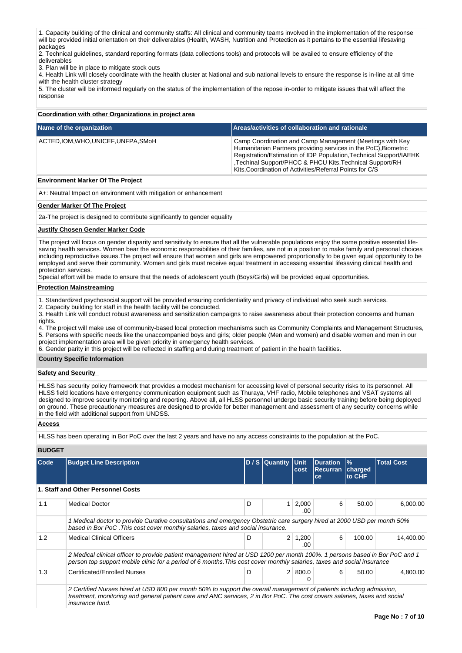1. Capacity building of the clinical and community staffs: All clinical and community teams involved in the implementation of the response will be provided initial orientation on their deliverables (Health, WASH, Nutrition and Protection as it pertains to the essential lifesaving packages

2. Technical guidelines, standard reporting formats (data collections tools) and protocols will be availed to ensure efficiency of the deliverables

3. Plan will be in place to mitigate stock outs

4. Health Link will closely coordinate with the health cluster at National and sub national levels to ensure the response is in-line at all time with the health cluster strategy

5. The cluster will be informed regularly on the status of the implementation of the repose in-order to mitigate issues that will affect the response

## **Coordination with other Organizations in project area**

| Name of the organization             | Areas/activities of collaboration and rationale                                                                                                                                                                                                                                                                          |
|--------------------------------------|--------------------------------------------------------------------------------------------------------------------------------------------------------------------------------------------------------------------------------------------------------------------------------------------------------------------------|
| ACTED, IOM, WHO, UNICEF, UNFPA, SMoH | Camp Coordination and Camp Management (Meetings with Key<br>Humanitarian Partners providing services in the PoC), Biometric<br>Registration/Estimation of IDP Population, Technical Support/IAEHK<br>Techinal Support/PHCC & PHCU Kits, Technical Support/RH<br>Kits, Coordination of Activities/Referral Points for C/S |

# **Environment Marker Of The Project**

A+: Neutral Impact on environment with mitigation or enhancement

#### **Gender Marker Of The Project**

2a-The project is designed to contribute significantly to gender equality

#### **Justify Chosen Gender Marker Code**

The project will focus on gender disparity and sensitivity to ensure that all the vulnerable populations enjoy the same positive essential lifesaving health services. Women bear the economic responsibilities of their families, are not in a position to make family and personal choices including reproductive issues.The project will ensure that women and girls are empowered proportionally to be given equal opportunity to be employed and serve their community. Women and girls must receive equal treatment in accessing essential lifesaving clinical health and protection services.

Special effort will be made to ensure that the needs of adolescent youth (Boys/Girls) will be provided equal opportunities.

#### **Protection Mainstreaming**

1. Standardized psychosocial support will be provided ensuring confidentiality and privacy of individual who seek such services.

2. Capacity building for staff in the health facility will be conducted.

3. Health Link will conduct robust awareness and sensitization campaigns to raise awareness about their protection concerns and human rights.

4. The project will make use of community-based local protection mechanisms such as Community Complaints and Management Structures, 5. Persons with specific needs like the unaccompanied boys and girls; older people (Men and women) and disable women and men in our

project implementation area will be given priority in emergency health services.

6. Gender parity in this project will be reflected in staffing and during treatment of patient in the health facilities.

## **Country Specific Information**

#### **Safety and Security**

HLSS has security policy framework that provides a modest mechanism for accessing level of personal security risks to its personnel. All HLSS field locations have emergency communication equipment such as Thuraya, VHF radio, Mobile telephones and VSAT systems all designed to improve security monitoring and reporting. Above all, all HLSS personnel undergo basic security training before being deployed on ground. These precautionary measures are designed to provide for better management and assessment of any security concerns while in the field with additional support from UNDSS.

#### **Access**

HLSS has been operating in Bor PoC over the last 2 years and have no any access constraints to the population at the PoC.

#### **BUDGET**

| Code | <b>Budget Line Description</b>                                                                                                                                                                                                                                       |   | D / S Quantity Unit | cost                  | <b>Duration</b><br><b>Recurran</b><br>ce | $\frac{9}{6}$<br>charged<br><b>to CHF</b> | <b>Total Cost</b> |  |
|------|----------------------------------------------------------------------------------------------------------------------------------------------------------------------------------------------------------------------------------------------------------------------|---|---------------------|-----------------------|------------------------------------------|-------------------------------------------|-------------------|--|
|      | 1. Staff and Other Personnel Costs                                                                                                                                                                                                                                   |   |                     |                       |                                          |                                           |                   |  |
| 1.1  | <b>Medical Doctor</b>                                                                                                                                                                                                                                                | D |                     | $1 \mid 2,000$<br>.00 | 6                                        | 50.00                                     | 6,000.00          |  |
|      | 1 Medical doctor to provide Curative consultations and emergency Obstetric care surgery hired at 2000 USD per month 50%<br>based in Bor PoC. This cost cover monthly salaries, taxes and social insurance.                                                           |   |                     |                       |                                          |                                           |                   |  |
| 1.2  | <b>Medical Clinical Officers</b>                                                                                                                                                                                                                                     | D | 2 <sup>1</sup>      | 1,200<br>.00          | 6                                        | 100.00                                    | 14.400.00         |  |
|      | 2 Medical clinical officer to provide patient management hired at USD 1200 per month 100%. 1 persons based in Bor PoC and 1<br>person top support mobile clinic for a period of 6 months. This cost cover monthly salaries, taxes and social insurance               |   |                     |                       |                                          |                                           |                   |  |
| 1.3  | Certificated/Enrolled Nurses                                                                                                                                                                                                                                         | D |                     | 2   800.0             | 6                                        | 50.00                                     | 4,800.00          |  |
|      | 2 Certified Nurses hired at USD 800 per month 50% to support the overall management of patients including admission,<br>treatment, monitoring and general patient care and ANC services, 2 in Bor PoC. The cost covers salaries, taxes and social<br>insurance fund. |   |                     |                       |                                          |                                           |                   |  |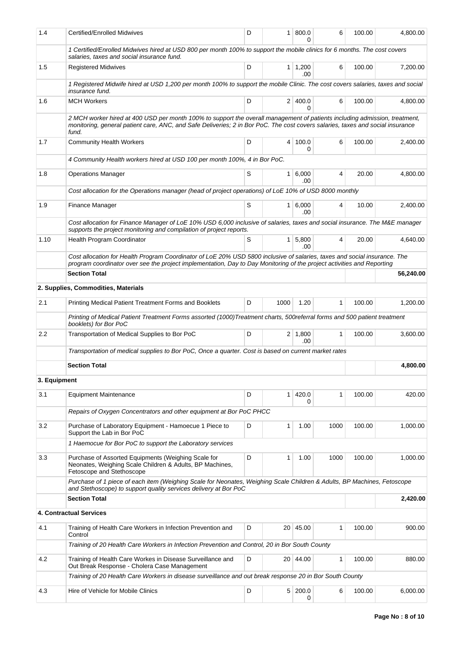| 1.4          | Certified/Enrolled Midwives                                                                                                                                                                                                                                           | D | 1 <sup>1</sup> | 800.0                 | 6            | 100.00 | 4,800.00  |  |
|--------------|-----------------------------------------------------------------------------------------------------------------------------------------------------------------------------------------------------------------------------------------------------------------------|---|----------------|-----------------------|--------------|--------|-----------|--|
|              | 1 Certified/Enrolled Midwives hired at USD 800 per month 100% to support the mobile clinics for 6 months. The cost covers<br>salaries, taxes and social insurance fund.                                                                                               |   |                |                       |              |        |           |  |
| 1.5          | <b>Registered Midwives</b>                                                                                                                                                                                                                                            | D |                | $1 \mid 1,200$<br>.00 | 6            | 100.00 | 7,200.00  |  |
|              | 1 Registered Midwife hired at USD 1,200 per month 100% to support the mobile Clinic. The cost covers salaries, taxes and social<br>insurance fund.                                                                                                                    |   |                |                       |              |        |           |  |
| 1.6          | <b>MCH Workers</b>                                                                                                                                                                                                                                                    | D |                | 2 400.0<br>U          | 6            | 100.00 | 4,800.00  |  |
|              | 2 MCH worker hired at 400 USD per month 100% to support the overall management of patients including admission, treatment,<br>monitoring, general patient care, ANC, and Safe Deliveries; 2 in Bor PoC. The cost covers salaries, taxes and social insurance<br>fund. |   |                |                       |              |        |           |  |
| 1.7          | <b>Community Health Workers</b>                                                                                                                                                                                                                                       | D | 4              | 100.0<br>0            | 6            | 100.00 | 2,400.00  |  |
|              | 4 Community Health workers hired at USD 100 per month 100%, 4 in Bor PoC.                                                                                                                                                                                             |   |                |                       |              |        |           |  |
| 1.8          | <b>Operations Manager</b>                                                                                                                                                                                                                                             | S | $\mathbf{1}$   | 6,000<br>.00          | 4            | 20.00  | 4,800.00  |  |
|              | Cost allocation for the Operations manager (head of project operations) of LoE 10% of USD 8000 monthly                                                                                                                                                                |   |                |                       |              |        |           |  |
| 1.9          | Finance Manager                                                                                                                                                                                                                                                       | S | 1 <sup>1</sup> | 6,000<br>.00.         | 4            | 10.00  | 2,400.00  |  |
|              | Cost allocation for Finance Manager of LoE 10% USD 6,000 inclusive of salaries, taxes and social insurance. The M&E manager<br>supports the project monitoring and compilation of project reports.                                                                    |   |                |                       |              |        |           |  |
| 1.10         | Health Program Coordinator                                                                                                                                                                                                                                            | S | 1 <sup>1</sup> | 5,800<br>.00          | 4            | 20.00  | 4,640.00  |  |
|              | Cost allocation for Health Program Coordinator of LoE 20% USD 5800 inclusive of salaries, taxes and social insurance. The<br>program coordinator over see the project implementation, Day to Day Monitoring of the project activities and Reporting                   |   |                |                       |              |        |           |  |
|              | <b>Section Total</b>                                                                                                                                                                                                                                                  |   |                |                       |              |        | 56,240.00 |  |
|              | 2. Supplies, Commodities, Materials                                                                                                                                                                                                                                   |   |                |                       |              |        |           |  |
| 2.1          | Printing Medical Patient Treatment Forms and Booklets                                                                                                                                                                                                                 | D | 1000           | 1.20                  | $\mathbf{1}$ | 100.00 | 1,200.00  |  |
|              | Printing of Medical Patient Treatment Forms assorted (1000)Treatment charts, 500referral forms and 500 patient treatment<br>booklets) for Bor PoC                                                                                                                     |   |                |                       |              |        |           |  |
| 2.2          | Transportation of Medical Supplies to Bor PoC                                                                                                                                                                                                                         | D |                | $2 \mid 1,800$<br>.00 | $\mathbf{1}$ | 100.00 | 3.600.00  |  |
|              | Transportation of medical supplies to Bor PoC, Once a quarter. Cost is based on current market rates                                                                                                                                                                  |   |                |                       |              |        |           |  |
|              | <b>Section Total</b>                                                                                                                                                                                                                                                  |   |                |                       |              |        | 4,800.00  |  |
| 3. Equipment |                                                                                                                                                                                                                                                                       |   |                |                       |              |        |           |  |
| 3.1          | <b>Equipment Maintenance</b>                                                                                                                                                                                                                                          | D | 1 <sup>1</sup> | 420.0<br>0            | 1            | 100.00 | 420.00    |  |
|              | Repairs of Oxygen Concentrators and other equipment at Bor PoC PHCC                                                                                                                                                                                                   |   |                |                       |              |        |           |  |
| 3.2          | Purchase of Laboratory Equipment - Hamoecue 1 Piece to<br>Support the Lab in Bor PoC                                                                                                                                                                                  | D | 1              | 1.00                  | 1000         | 100.00 | 1.000.00  |  |
|              | 1 Haemocue for Bor PoC to support the Laboratory services                                                                                                                                                                                                             |   |                |                       |              |        |           |  |
| 3.3          | Purchase of Assorted Equipments (Weighing Scale for<br>Neonates, Weighing Scale Children & Adults, BP Machines,<br>Fetoscope and Stethoscope                                                                                                                          | D | 1              | 1.00                  | 1000         | 100.00 | 1,000.00  |  |
|              | Purchase of 1 piece of each item (Weighing Scale for Neonates, Weighing Scale Children & Adults, BP Machines, Fetoscope<br>and Stethoscope) to support quality services delivery at Bor PoC                                                                           |   |                |                       |              |        |           |  |
|              | <b>Section Total</b>                                                                                                                                                                                                                                                  |   |                |                       |              |        | 2,420.00  |  |
|              | 4. Contractual Services                                                                                                                                                                                                                                               |   |                |                       |              |        |           |  |
| 4.1          | Training of Health Care Workers in Infection Prevention and<br>Control                                                                                                                                                                                                | D |                | 20   45.00            | 1            | 100.00 | 900.00    |  |
|              | Training of 20 Health Care Workers in Infection Prevention and Control, 20 in Bor South County                                                                                                                                                                        |   |                |                       |              |        |           |  |
| 4.2          | Training of Health Care Workes in Disease Surveillance and<br>Out Break Response - Cholera Case Management                                                                                                                                                            | D |                | 20 44.00              | 1            | 100.00 | 880.00    |  |
|              | Training of 20 Health Care Workers in disease surveillance and out break response 20 in Bor South County                                                                                                                                                              |   |                |                       |              |        |           |  |
| 4.3          | Hire of Vehicle for Mobile Clinics                                                                                                                                                                                                                                    | D |                | 5 200.0<br>0          | 6            | 100.00 | 6,000.00  |  |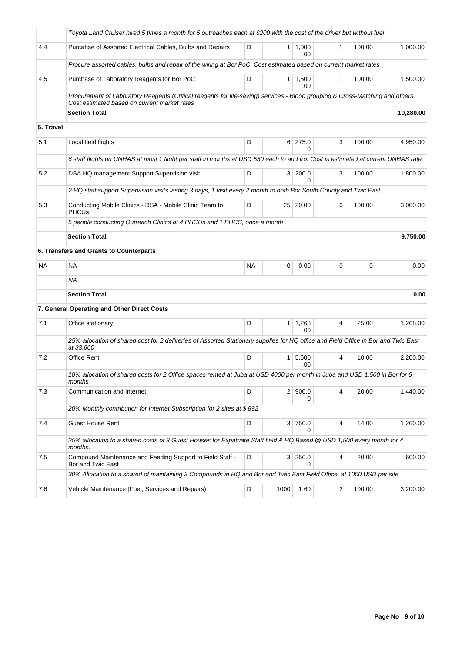|           | Toyota Land Cruiser hired 5 times a month for 5 outreaches each at \$200 with the cost of the driver but without fuel                                                         |           |           |                         |   |        |          |
|-----------|-------------------------------------------------------------------------------------------------------------------------------------------------------------------------------|-----------|-----------|-------------------------|---|--------|----------|
| 4.4       | Purcahse of Assorted Electrical Cables, Bulbs and Repairs                                                                                                                     | D         |           | $1 \mid 1,000$<br>.00   | 1 | 100.00 | 1,000.00 |
|           | Procure assorted cables, bulbs and repair of the wiring at Bor PoC. Cost estimated based on current market rates                                                              |           |           |                         |   |        |          |
| 4.5       | Purchase of Laboratory Reagents for Bor PoC                                                                                                                                   | D         |           | $1 \mid 1,500$<br>.00   | 1 | 100.00 | 1,500.00 |
|           | Procurement of Laboratory Reagents (Critical reagents for life-saving) services - Blood grouping & Cross-Matching and others.<br>Cost estimated based on current market rates |           |           |                         |   |        |          |
|           | <b>Section Total</b>                                                                                                                                                          |           | 10,280.00 |                         |   |        |          |
| 5. Travel |                                                                                                                                                                               |           |           |                         |   |        |          |
| 5.1       | Local field flights                                                                                                                                                           | D         |           | $6$ 275.0<br>0          | 3 | 100.00 | 4,950.00 |
|           | 6 staff flights on UNHAS at most 1 flight per staff in months at USD 550 each to and fro. Cost is estimated at current UNHAS rate                                             |           |           |                         |   |        |          |
| 5.2       | DSA HQ management Support Supervision visit                                                                                                                                   | D         |           | 3 200.0<br><sup>0</sup> | 3 | 100.00 | 1,800.00 |
|           | 2 HQ staff support Supervision visits lasting 3 days, 1 visit every 2 month to both Bor South County and Twic East                                                            |           |           |                         |   |        |          |
| 5.3       | Conducting Mobile Clinics - DSA - Mobile Clinic Team to<br><b>PHCUs</b>                                                                                                       | D         |           | 25 20.00                | 6 | 100.00 | 3,000.00 |
|           | 5 people conducting Outreach Clinics at 4 PHCUs and 1 PHCC, once a month                                                                                                      |           |           |                         |   |        |          |
|           | <b>Section Total</b>                                                                                                                                                          |           |           |                         |   |        | 9,750.00 |
|           | 6. Transfers and Grants to Counterparts                                                                                                                                       |           |           |                         |   |        |          |
| NA        | <b>NA</b>                                                                                                                                                                     | <b>NA</b> | 0         | 0.00                    | 0 | 0      | 0.00     |
|           | <b>NA</b>                                                                                                                                                                     |           |           |                         |   |        |          |
|           | <b>Section Total</b>                                                                                                                                                          |           |           |                         |   |        | 0.00     |
|           | 7. General Operating and Other Direct Costs                                                                                                                                   |           |           |                         |   |        |          |
| 7.1       | Office stationary                                                                                                                                                             | D         |           | $1 \quad 1,268$<br>.00  | 4 | 25.00  | 1,268.00 |
|           | 25% allocation of shared cost for 2 deliveries of Assorted Stationary supplies for HQ office and Field Office in Bor and Twic East<br>at \$3,600                              |           |           |                         |   |        |          |
| 7.2       | Office Rent                                                                                                                                                                   | D         |           | $1 \mid 5,500$<br>.00   | 4 | 10.00  | 2,200.00 |
|           | 10% allocation of shared costs for 2 Office spaces rented at Juba at USD 4000 per month in Juba and USD 1,500 in Bor for 6<br>months                                          |           |           |                         |   |        |          |
| 7.3       | Communication and Internet                                                                                                                                                    | D         |           | 2 900.0<br>0            | 4 | 20.00  | 1,440.00 |
|           | 20% Monthly contribution for Internet Subscription for 2 sites at \$892                                                                                                       |           |           |                         |   |        |          |
| 7.4       | <b>Guest House Rent</b>                                                                                                                                                       | D         |           | 3 750.0<br>0            | 4 | 14.00  | 1,260.00 |
|           | 25% allocation to a shared costs of 3 Guest Houses for Expatriate Staff field & HQ Based @ USD 1,500 every month for 4<br>months.                                             |           |           |                         |   |        |          |
| 7.5       | Compound Maintenance and Feeding Support to Field Staff -<br>Bor and Twic East                                                                                                | D         |           | 3 250.0<br>$\Omega$     | 4 | 20.00  | 600.00   |
|           | 30% Allocation to a shared of maintaining 3 Compounds in HQ and Bor and Twic East Field Office, at 1000 USD per site                                                          |           |           |                         |   |        |          |
| 7.6       | Vehicle Maintenance (Fuel, Services and Repairs)                                                                                                                              | D         | 1000      | 1.60                    | 2 | 100.00 | 3,200.00 |